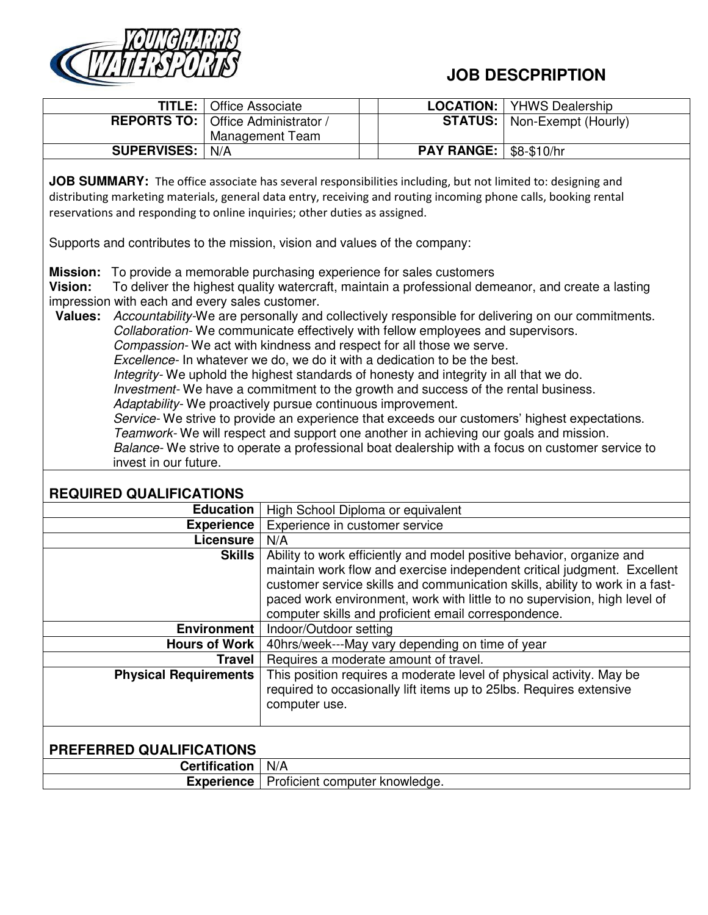

## **JOB DESCPRIPTION**

| TITLE:                                                                                                             | Office Associate                                                      | <b>LOCATION:</b>                                                          | <b>YHWS Dealership</b>                                                       |  |
|--------------------------------------------------------------------------------------------------------------------|-----------------------------------------------------------------------|---------------------------------------------------------------------------|------------------------------------------------------------------------------|--|
| <b>REPORTS TO:</b>                                                                                                 | Office Administrator /                                                | <b>STATUS:</b>                                                            | Non-Exempt (Hourly)                                                          |  |
|                                                                                                                    | Management Team                                                       |                                                                           |                                                                              |  |
| <b>SUPERVISES:</b><br>N/A                                                                                          |                                                                       | <b>PAY RANGE:</b>                                                         | \$8-\$10/hr                                                                  |  |
|                                                                                                                    |                                                                       |                                                                           |                                                                              |  |
| JOB SUMMARY: The office associate has several responsibilities including, but not limited to: designing and        |                                                                       |                                                                           |                                                                              |  |
| distributing marketing materials, general data entry, receiving and routing incoming phone calls, booking rental   |                                                                       |                                                                           |                                                                              |  |
| reservations and responding to online inquiries; other duties as assigned.                                         |                                                                       |                                                                           |                                                                              |  |
|                                                                                                                    |                                                                       |                                                                           |                                                                              |  |
| Supports and contributes to the mission, vision and values of the company:                                         |                                                                       |                                                                           |                                                                              |  |
|                                                                                                                    |                                                                       |                                                                           |                                                                              |  |
| To provide a memorable purchasing experience for sales customers<br><b>Mission:</b>                                |                                                                       |                                                                           |                                                                              |  |
| To deliver the highest quality watercraft, maintain a professional demeanor, and create a lasting<br>Vision:       |                                                                       |                                                                           |                                                                              |  |
| impression with each and every sales customer.                                                                     |                                                                       |                                                                           |                                                                              |  |
| Accountability-We are personally and collectively responsible for delivering on our commitments.<br><b>Values:</b> |                                                                       |                                                                           |                                                                              |  |
| Collaboration- We communicate effectively with fellow employees and supervisors.                                   |                                                                       |                                                                           |                                                                              |  |
| Compassion-We act with kindness and respect for all those we serve.                                                |                                                                       |                                                                           |                                                                              |  |
| Excellence- In whatever we do, we do it with a dedication to be the best.                                          |                                                                       |                                                                           |                                                                              |  |
| Integrity- We uphold the highest standards of honesty and integrity in all that we do.                             |                                                                       |                                                                           |                                                                              |  |
| <i>Investment</i> -We have a commitment to the growth and success of the rental business.                          |                                                                       |                                                                           |                                                                              |  |
| Adaptability- We proactively pursue continuous improvement.                                                        |                                                                       |                                                                           |                                                                              |  |
| Service- We strive to provide an experience that exceeds our customers' highest expectations.                      |                                                                       |                                                                           |                                                                              |  |
| Teamwork- We will respect and support one another in achieving our goals and mission.                              |                                                                       |                                                                           |                                                                              |  |
| Balance- We strive to operate a professional boat dealership with a focus on customer service to                   |                                                                       |                                                                           |                                                                              |  |
| invest in our future.                                                                                              |                                                                       |                                                                           |                                                                              |  |
| <b>REQUIRED QUALIFICATIONS</b>                                                                                     |                                                                       |                                                                           |                                                                              |  |
| <b>Education</b>                                                                                                   | High School Diploma or equivalent                                     |                                                                           |                                                                              |  |
| <b>Experience</b>                                                                                                  | Experience in customer service                                        |                                                                           |                                                                              |  |
| Licensure                                                                                                          | N/A                                                                   |                                                                           |                                                                              |  |
| <b>Skills</b>                                                                                                      | Ability to work efficiently and model positive behavior, organize and |                                                                           |                                                                              |  |
|                                                                                                                    |                                                                       |                                                                           | maintain work flow and exercise independent critical judgment. Excellent     |  |
|                                                                                                                    |                                                                       |                                                                           | customer service skills and communication skills, ability to work in a fast- |  |
|                                                                                                                    |                                                                       | paced work environment, work with little to no supervision, high level of |                                                                              |  |
|                                                                                                                    |                                                                       | computer skills and proficient email correspondence.                      |                                                                              |  |
| <b>Environment</b>                                                                                                 | Indoor/Outdoor setting                                                |                                                                           |                                                                              |  |
| <b>Hours of Work</b>                                                                                               | 40hrs/week---May vary depending on time of year                       |                                                                           |                                                                              |  |
| <b>Travel</b>                                                                                                      | Requires a moderate amount of travel.                                 |                                                                           |                                                                              |  |
| <b>Physical Requirements</b>                                                                                       |                                                                       |                                                                           | This position requires a moderate level of physical activity. May be         |  |
|                                                                                                                    |                                                                       |                                                                           | required to occasionally lift items up to 25lbs. Requires extensive          |  |
|                                                                                                                    | computer use.                                                         |                                                                           |                                                                              |  |
|                                                                                                                    |                                                                       |                                                                           |                                                                              |  |
|                                                                                                                    |                                                                       |                                                                           |                                                                              |  |
| <b>PREFERRED QUALIFICATIONS</b>                                                                                    |                                                                       |                                                                           |                                                                              |  |
| <b>Certification</b>                                                                                               | N/A                                                                   |                                                                           |                                                                              |  |
| <b>Experience</b>                                                                                                  |                                                                       | Proficient computer knowledge.                                            |                                                                              |  |